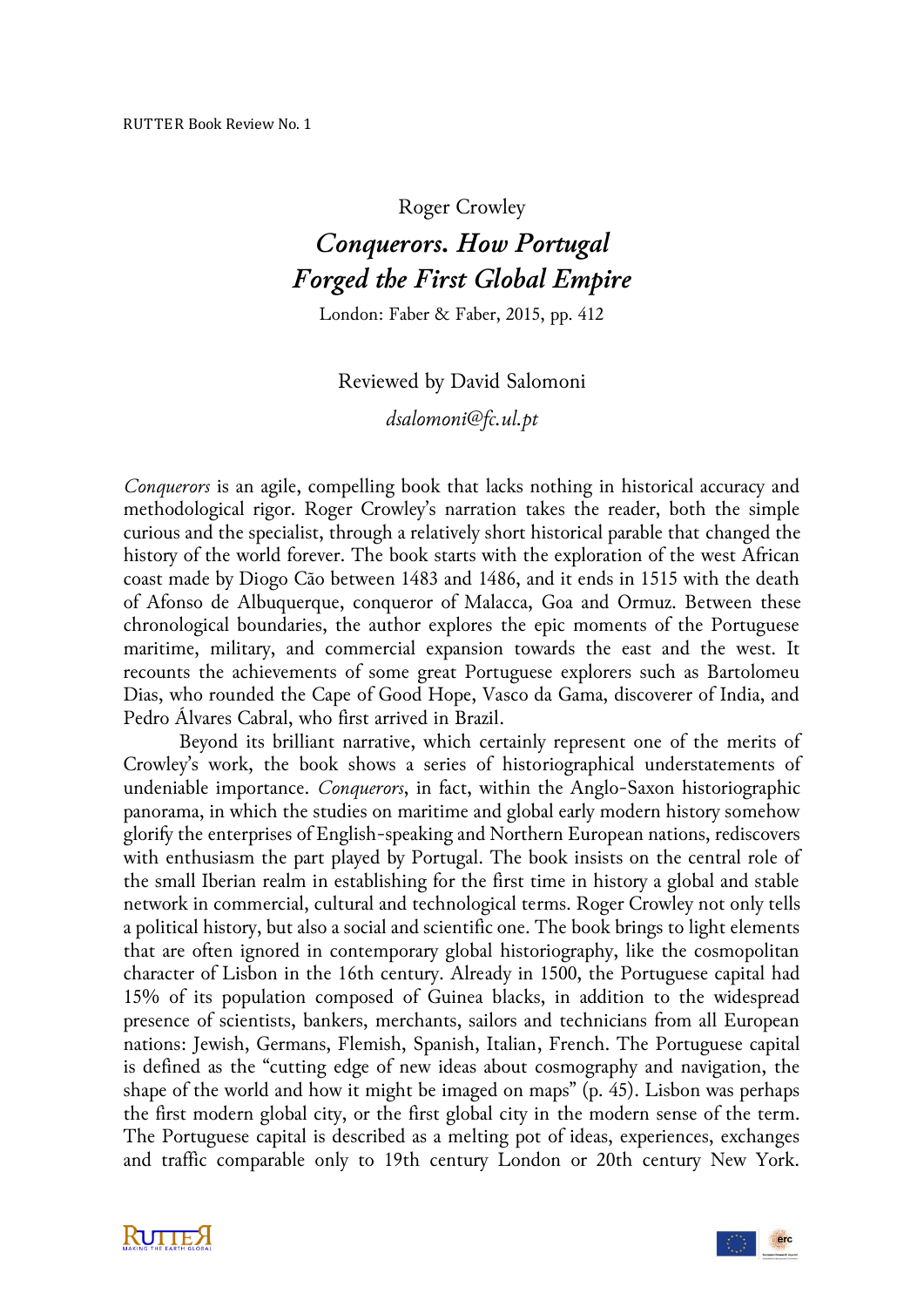Roger Crowley

## *Conquerors. How Portugal Forged the First Global Empire*

London: Faber & Faber, 2015, pp. 412

## Reviewed by David Salomoni

*dsalomoni@fc.ul.pt*

*Conquerors* is an agile, compelling book that lacks nothing in historical accuracy and methodological rigor. Roger Crowley's narration takes the reader, both the simple curious and the specialist, through a relatively short historical parable that changed the history of the world forever. The book starts with the exploration of the west African coast made by Diogo Cão between 1483 and 1486, and it ends in 1515 with the death of Afonso de Albuquerque, conqueror of Malacca, Goa and Ormuz. Between these chronological boundaries, the author explores the epic moments of the Portuguese maritime, military, and commercial expansion towards the east and the west. It recounts the achievements of some great Portuguese explorers such as Bartolomeu Dias, who rounded the Cape of Good Hope, Vasco da Gama, discoverer of India, and Pedro Álvares Cabral, who first arrived in Brazil.

Beyond its brilliant narrative, which certainly represent one of the merits of Crowley's work, the book shows a series of historiographical understatements of undeniable importance. *Conquerors*, in fact, within the Anglo-Saxon historiographic panorama, in which the studies on maritime and global early modern history somehow glorify the enterprises of English-speaking and Northern European nations, rediscovers with enthusiasm the part played by Portugal. The book insists on the central role of the small Iberian realm in establishing for the first time in history a global and stable network in commercial, cultural and technological terms. Roger Crowley not only tells a political history, but also a social and scientific one. The book brings to light elements that are often ignored in contemporary global historiography, like the cosmopolitan character of Lisbon in the 16th century. Already in 1500, the Portuguese capital had 15% of its population composed of Guinea blacks, in addition to the widespread presence of scientists, bankers, merchants, sailors and technicians from all European nations: Jewish, Germans, Flemish, Spanish, Italian, French. The Portuguese capital is defined as the "cutting edge of new ideas about cosmography and navigation, the shape of the world and how it might be imaged on maps" (p. 45). Lisbon was perhaps the first modern global city, or the first global city in the modern sense of the term. The Portuguese capital is described as a melting pot of ideas, experiences, exchanges and traffic comparable only to 19th century London or 20th century New York.